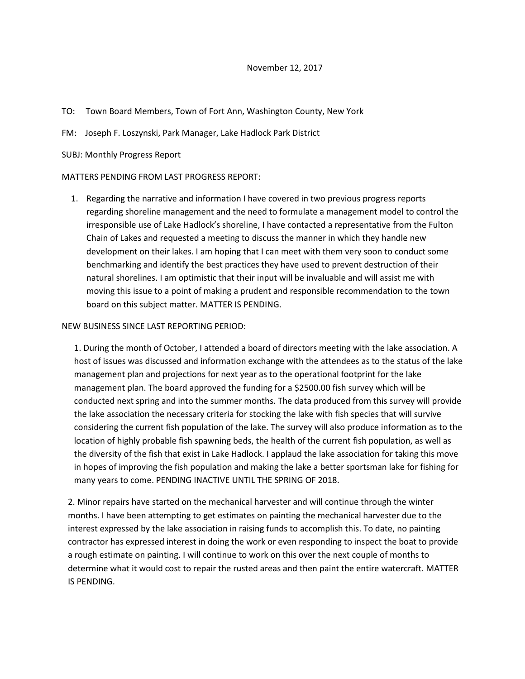- TO: Town Board Members, Town of Fort Ann, Washington County, New York
- FM: Joseph F. Loszynski, Park Manager, Lake Hadlock Park District
- SUBJ: Monthly Progress Report

## MATTERS PENDING FROM LAST PROGRESS REPORT:

1. Regarding the narrative and information I have covered in two previous progress reports regarding shoreline management and the need to formulate a management model to control the irresponsible use of Lake Hadlock's shoreline, I have contacted a representative from the Fulton Chain of Lakes and requested a meeting to discuss the manner in which they handle new development on their lakes. I am hoping that I can meet with them very soon to conduct some benchmarking and identify the best practices they have used to prevent destruction of their natural shorelines. I am optimistic that their input will be invaluable and will assist me with moving this issue to a point of making a prudent and responsible recommendation to the town board on this subject matter. MATTER IS PENDING.

## NEW BUSINESS SINCE LAST REPORTING PERIOD:

1. During the month of October, I attended a board of directors meeting with the lake association. A host of issues was discussed and information exchange with the attendees as to the status of the lake management plan and projections for next year as to the operational footprint for the lake management plan. The board approved the funding for a \$2500.00 fish survey which will be conducted next spring and into the summer months. The data produced from this survey will provide the lake association the necessary criteria for stocking the lake with fish species that will survive considering the current fish population of the lake. The survey will also produce information as to the location of highly probable fish spawning beds, the health of the current fish population, as well as the diversity of the fish that exist in Lake Hadlock. I applaud the lake association for taking this move in hopes of improving the fish population and making the lake a better sportsman lake for fishing for many years to come. PENDING INACTIVE UNTIL THE SPRING OF 2018.

2. Minor repairs have started on the mechanical harvester and will continue through the winter months. I have been attempting to get estimates on painting the mechanical harvester due to the interest expressed by the lake association in raising funds to accomplish this. To date, no painting contractor has expressed interest in doing the work or even responding to inspect the boat to provide a rough estimate on painting. I will continue to work on this over the next couple of months to determine what it would cost to repair the rusted areas and then paint the entire watercraft. MATTER IS PENDING.